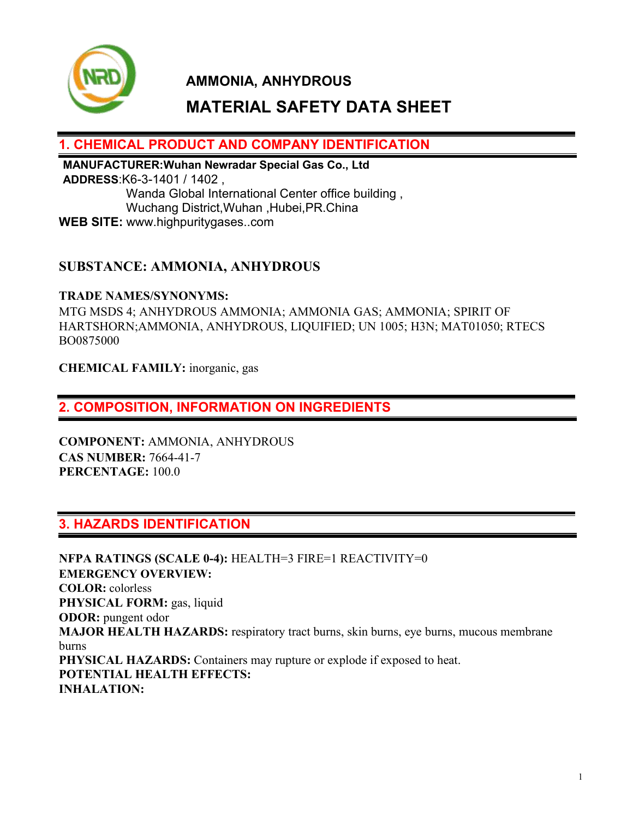

# **MATERIAL SAFETY DATA SHEET**

## **1. CHEMICAL PRODUCT AND COMPANY IDENTIFICATION**

**MANUFACTURER:Wuhan Newradar Special Gas Co., Ltd ADDRESS**:K6-3-1401 / 1402 , Wanda Global International Center office building , Wuchang District,Wuhan ,Hubei,PR.China **WEB SITE:** www.highpuritygases..com

## **SUBSTANCE: AMMONIA, ANHYDROUS**

#### **TRADE NAMES/SYNONYMS:**

MTG MSDS 4; ANHYDROUS AMMONIA; AMMONIA GAS; AMMONIA; SPIRIT OF HARTSHORN;AMMONIA, ANHYDROUS, LIQUIFIED; UN 1005; H3N; MAT01050; RTECS BO0875000

**CHEMICAL FAMILY:** inorganic, gas

## **2. COMPOSITION, INFORMATION ON INGREDIENTS**

**COMPONENT:** AMMONIA, ANHYDROUS **CAS NUMBER:** 7664-41-7 **PERCENTAGE:** 100.0

## **3. HAZARDS IDENTIFICATION**

**NFPA RATINGS (SCALE 0-4):** HEALTH=3 FIRE=1 REACTIVITY=0 **EMERGENCY OVERVIEW: COLOR:** colorless **PHYSICAL FORM:** gas, liquid **ODOR:** pungent odor **MAJOR HEALTH HAZARDS:** respiratory tract burns, skin burns, eye burns, mucous membrane burns **PHYSICAL HAZARDS:** Containers may rupture or explode if exposed to heat. **POTENTIAL HEALTH EFFECTS: INHALATION:**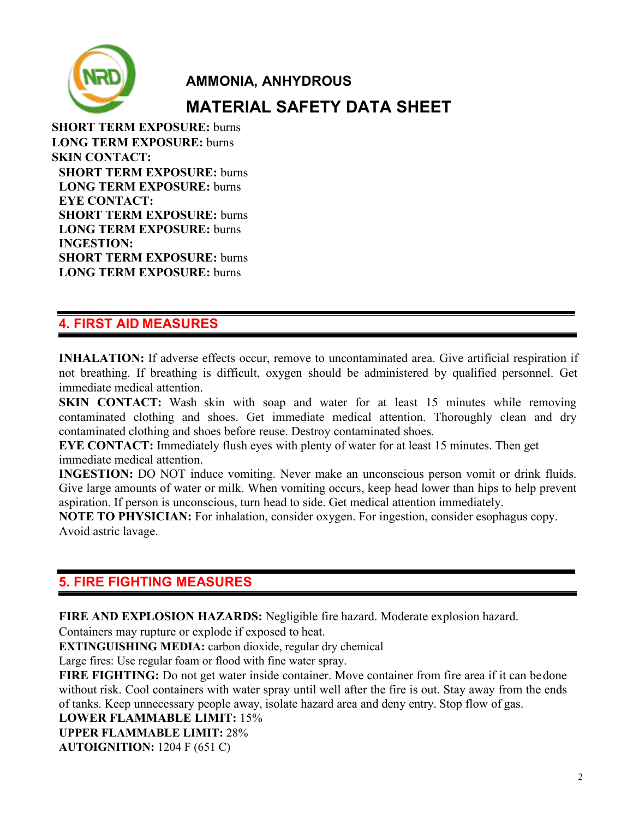

**SHORT TERM EXPOSURE:** burns **LONG TERM EXPOSURE:** burns **SKIN CONTACT: SHORT TERM EXPOSURE:** burns **LONG TERM EXPOSURE:** burns **EYE CONTACT: SHORT TERM EXPOSURE:** burns **LONG TERM EXPOSURE:** burns **INGESTION: SHORT TERM EXPOSURE:** burns **LONG TERM EXPOSURE:** burns

# **4. FIRST AID MEASURES**

**INHALATION:** If adverse effects occur, remove to uncontaminated area. Give artificial respiration if not breathing. If breathing is difficult, oxygen should be administered by qualified personnel. Get immediate medical attention.

**SKIN CONTACT:** Wash skin with soap and water for at least 15 minutes while removing contaminated clothing and shoes. Get immediate medical attention. Thoroughly clean and dry contaminated clothing and shoes before reuse. Destroy contaminated shoes.

**EYE CONTACT:** Immediately flush eyes with plenty of water for at least 15 minutes. Then get immediate medical attention.

**INGESTION:** DO NOT induce vomiting. Never make an unconscious person vomit or drink fluids. Give large amounts of water or milk. When vomiting occurs, keep head lower than hips to help prevent aspiration. If person is unconscious, turn head to side. Get medical attention immediately.

**NOTE TO PHYSICIAN:** For inhalation, consider oxygen. For ingestion, consider esophagus copy. Avoid astric lavage.

## **5. FIRE FIGHTING MEASURES**

**FIRE AND EXPLOSION HAZARDS:** Negligible fire hazard. Moderate explosion hazard.

Containers may rupture or explode if exposed to heat.

**EXTINGUISHING MEDIA:** carbon dioxide, regular dry chemical

Large fires: Use regular foam or flood with fine water spray.

**FIRE FIGHTING:** Do not get water inside container. Move container from fire area if it can bedone without risk. Cool containers with water spray until well after the fire is out. Stay away from the ends of tanks. Keep unnecessary people away, isolate hazard area and deny entry. Stop flow of gas.

**LOWER FLAMMABLE LIMIT:** 15%

**UPPER FLAMMABLE LIMIT:** 28%

**AUTOIGNITION:** 1204 F (651 C)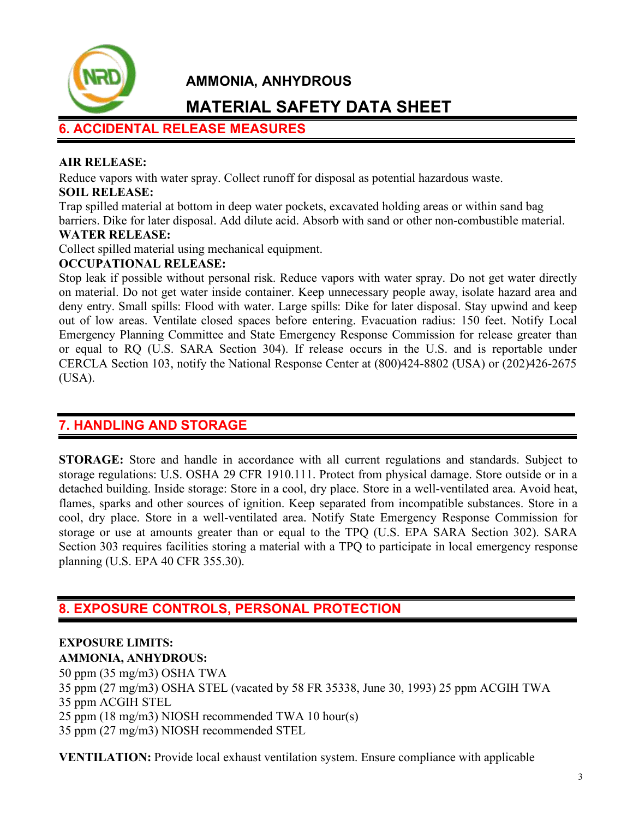

# **MATERIAL SAFETY DATA SHEET**

# **6. ACCIDENTAL RELEASE MEASURES**

#### **AIR RELEASE:**

Reduce vapors with water spray. Collect runoff for disposal as potential hazardous waste.

#### **SOIL RELEASE:**

Trap spilled material at bottom in deep water pockets, excavated holding areas orwithin sand bag barriers. Dike for later disposal. Add dilute acid. Absorb with sand or other non-combustible material.

## **WATER RELEASE:**

Collect spilled material using mechanical equipment.

#### **OCCUPATIONAL RELEASE:**

Stop leak if possible without personal risk. Reduce vapors with water spray. Do not get water directly on material. Do not get water inside container. Keep unnecessary people away, isolate hazard area and deny entry. Small spills: Flood with water. Large spills: Dike for later disposal. Stay upwind and keep out of low areas. Ventilate closed spaces before entering. Evacuation radius: 150 feet. Notify Local Emergency Planning Committee and State Emergency Response Commission for release greater than or equal to RQ (U.S. SARA Section 304). If release occurs in the U.S. and is reportable under CERCLA Section 103, notify the National Response Center at (800)424-8802 (USA) or (202)426-2675 (USA).

## **7. HANDLING AND STORAGE**

**STORAGE:** Store and handle in accordance with all current regulations and standards. Subject to storage regulations: U.S. OSHA 29 CFR 1910.111. Protect from physical damage. Store outside or in a detached building. Inside storage: Store in a cool, dry place. Store in a well-ventilated area. Avoid heat, flames, sparks and other sources of ignition. Keep separated from incompatible substances. Store in a cool, dry place. Store in a well-ventilated area. Notify State Emergency Response Commission for storage or use at amounts greater than or equal to the TPQ (U.S. EPA SARA Section 302). SARA Section 303 requires facilities storing a material with a TPO to participate in local emergency response planning (U.S. EPA 40 CFR 355.30).

## **8. EXPOSURE CONTROLS, PERSONAL PROTECTION**

#### **EXPOSURE LIMITS: AMMONIA, ANHYDROUS:**

 ppm (35 mg/m3) OSHA TWA ppm (27 mg/m3) OSHA STEL (vacated by 58 FR 35338, June 30, 1993) 25 ppm ACGIH TWA ppm ACGIH STEL ppm (18 mg/m3) NIOSH recommended TWA 10 hour(s) ppm (27 mg/m3) NIOSH recommended STEL

**VENTILATION:** Provide local exhaust ventilation system. Ensure compliance with applicable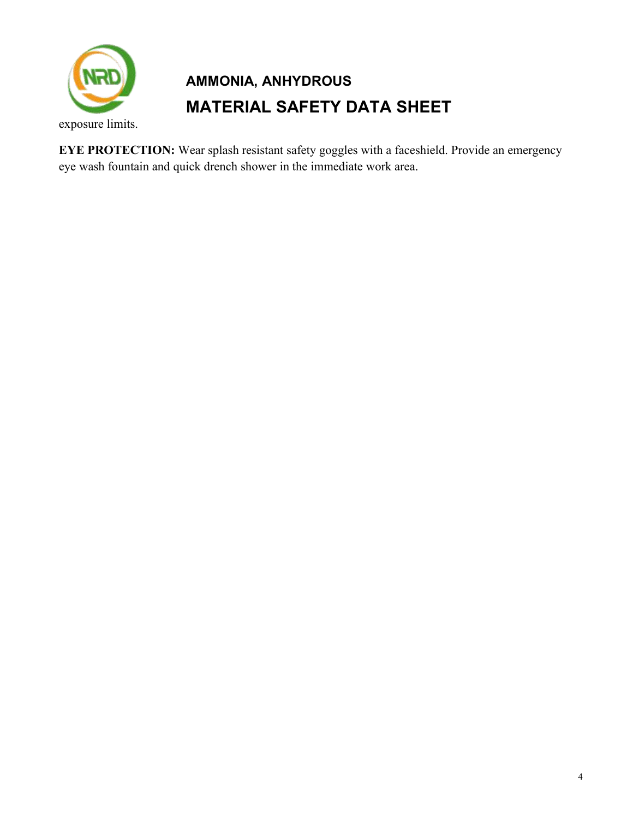

exposure limits.

**EYE PROTECTION:** Wear splash resistant safety goggles with a faceshield. Provide an emergency eye wash fountain and quick drench shower in the immediate work area.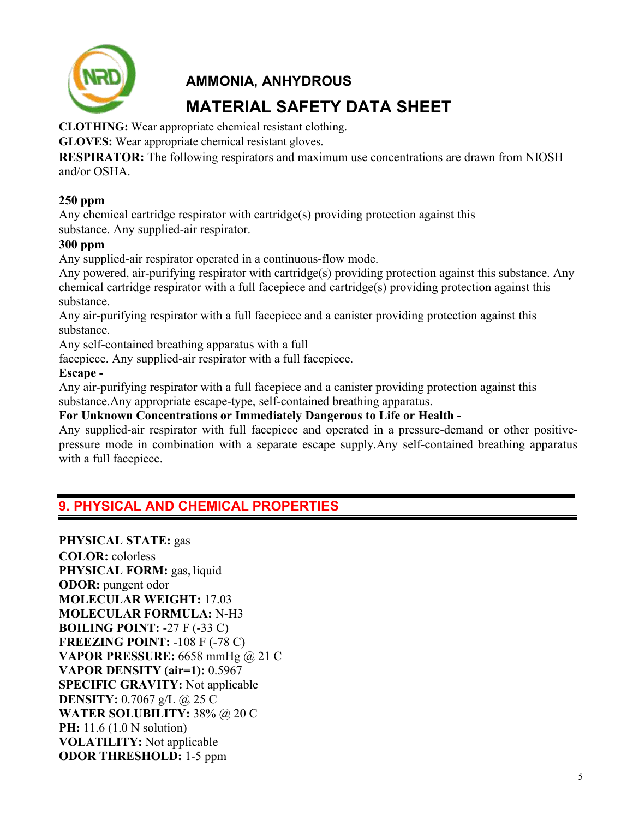

**CLOTHING:** Wear appropriate chemical resistant clothing.

**GLOVES:** Wear appropriate chemical resistant gloves.

**RESPIRATOR:** The following respirators and maximum use concentrations are drawn from NIOSH and/or OSHA.

#### **250 ppm**

Any chemical cartridge respirator with cartridge(s) providing protection against this substance. Any supplied-air respirator.

#### **300 ppm**

Any supplied-air respirator operated in a continuous-flow mode.

Any powered, air-purifying respirator with cartridge(s) providing protection against this substance. Any chemical cartridge respirator with a full facepiece and cartridge(s) providing protection against this substance.

Any air-purifying respirator with a full facepiece and a canister providing protection against this substance.

Any self-contained breathing apparatus with a full

facepiece. Any supplied-air respirator with a full facepiece.

#### **Escape -**

Any air-purifying respirator with a full facepiece and a canister providing protection against this substance.Any appropriate escape-type, self-contained breathing apparatus.

**For Unknown Concentrations or Immediately Dangerous to Life or Health -**

Any supplied-air respirator with full facepiece and operated in a pressure-demand or other positive pressure mode in combination with a separate escape supply.Any self-contained breathing apparatus with a full facepiece.

## **9. PHYSICAL AND CHEMICAL PROPERTIES**

**PHYSICAL STATE:** gas **COLOR:** colorless **PHYSICAL FORM:** gas, liquid **ODOR:** pungent odor **MOLECULAR WEIGHT:** 17.03 **MOLECULAR FORMULA:** N-H3 **BOILING POINT:** -27 F (-33 C) **FREEZING POINT:** -108 F (-78 C) **VAPOR PRESSURE:** 6658 mmHg @ 21 C **VAPOR DENSITY (air=1):** 0.5967 **SPECIFIC GRAVITY:** Not applicable **DENSITY:** 0.7067 g/L @ 25 C **WATER SOLUBILITY:** 38% @ 20 C **PH:** 11.6 (1.0 N solution) **VOLATILITY:** Not applicable **ODOR THRESHOLD:** 1-5 ppm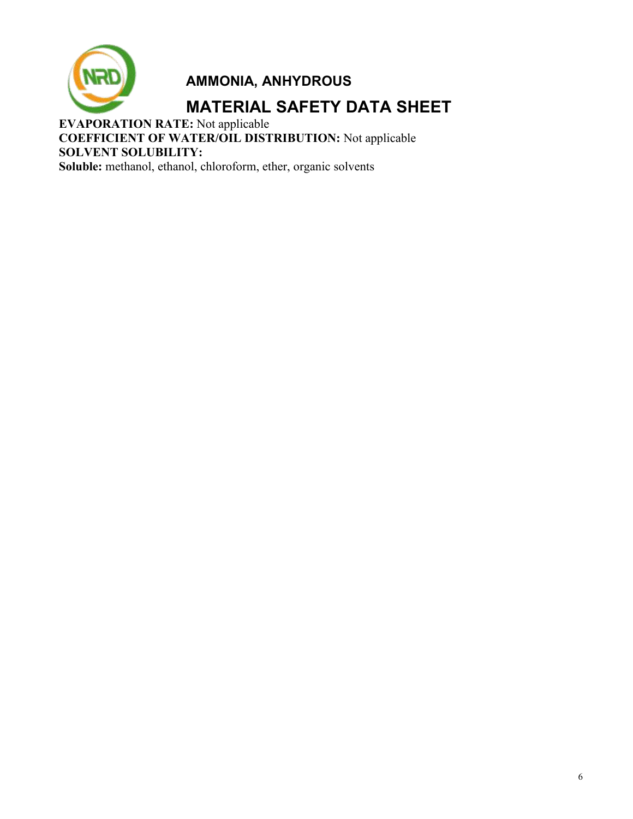

# **MATERIAL SAFETY DATA SHEET**

**EVAPORATION RATE:** Not applicable **COEFFICIENT OF WATER/OIL DISTRIBUTION:** Not applicable **SOLVENT SOLUBILITY: Soluble:** methanol, ethanol, chloroform, ether, organic solvents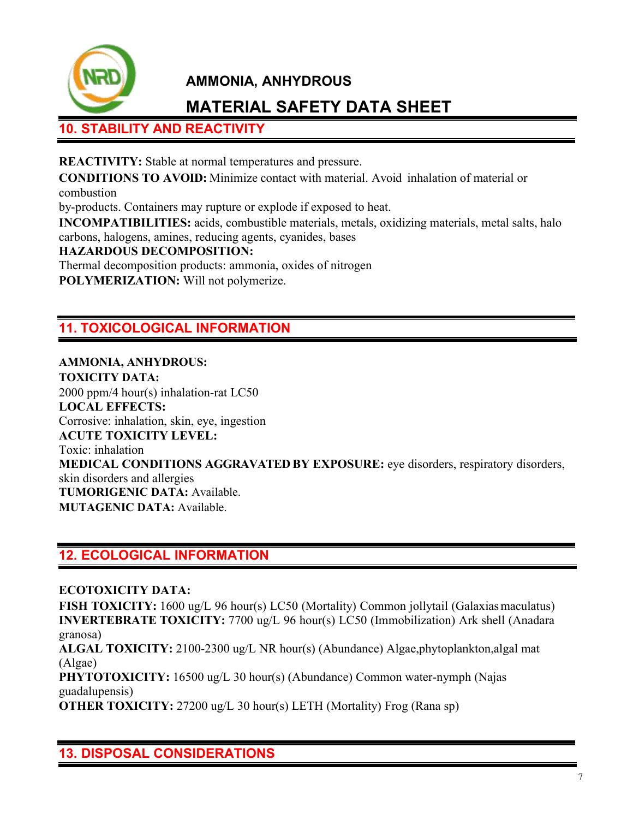

# **MATERIAL SAFETY DATA SHEET**

# **10. STABILITY AND REACTIVITY**

**REACTIVITY:** Stable at normal temperatures and pressure.

**CONDITIONS TO AVOID:** Minimize contactwith material. Avoid inhalation of material or combustion

by-products. Containers may rupture or explode if exposed to heat.

**INCOMPATIBILITIES:** acids, combustible materials, metals, oxidizing materials, metal salts, halo carbons, halogens, amines, reducing agents, cyanides, bases

**HAZARDOUS DECOMPOSITION:**

Thermal decomposition products: ammonia, oxides of nitrogen **POLYMERIZATION:** Will not polymerize.

# **11. TOXICOLOGICAL INFORMATION**

**AMMONIA, ANHYDROUS: TOXICITY DATA:** 2000 ppm/4 hour(s) inhalation-rat LC50 **LOCAL EFFECTS:** Corrosive: inhalation, skin, eye, ingestion **ACUTE TOXICITY LEVEL:** Toxic: inhalation **MEDICAL CONDITIONS AGGRAVATED BY EXPOSURE:** eye disorders, respiratory disorders, skin disorders and allergies **TUMORIGENIC DATA:** Available. **MUTAGENIC DATA:** Available.

# **12. ECOLOGICAL INFORMATION**

#### **ECOTOXICITY DATA:**

**FISH TOXICITY:** 1600 ug/L 96 hour(s) LC50 (Mortality) Common jollytail (Galaxias maculatus) **INVERTEBRATE TOXICITY:** 7700 ug/L 96 hour(s) LC50 (Immobilization) Ark shell (Anadara granosa)

**ALGAL TOXICITY:** 2100-2300 ug/L NR hour(s) (Abundance) Algae,phytoplankton,algal mat (Algae)

**PHYTOTOXICITY:** 16500 ug/L 30 hour(s) (Abundance) Common water-nymph (Najas guadalupensis)

**OTHER TOXICITY:** 27200 ug/L 30 hour(s) LETH (Mortality) Frog (Rana sp)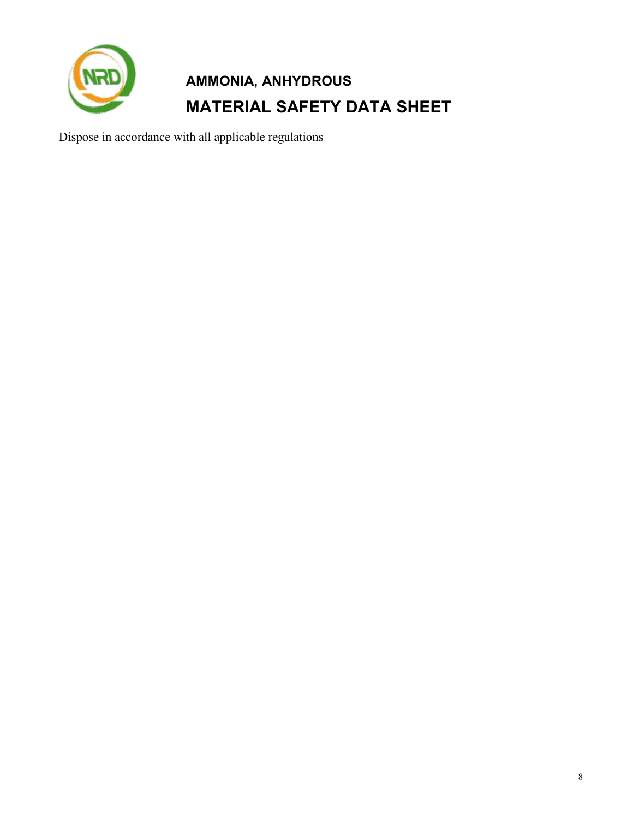

Dispose in accordance with all applicable regulations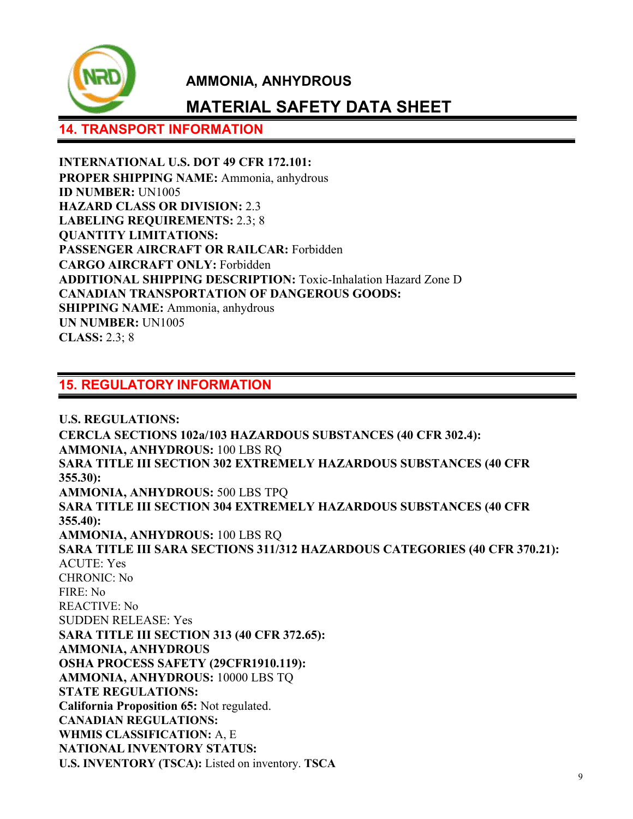

# **MATERIAL SAFETY DATA SHEET**

## **14. TRANSPORT INFORMATION**

**INTERNATIONAL U.S. DOT 49 CFR 172.101: PROPER SHIPPING NAME:** Ammonia, anhydrous **ID NUMBER:** UN1005 **HAZARD CLASS OR DIVISION:** 2.3 **LABELING REQUIREMENTS:** 2.3; 8 **QUANTITY LIMITATIONS: PASSENGER AIRCRAFT OR RAILCAR:** Forbidden **CARGO AIRCRAFT ONLY:** Forbidden **ADDITIONAL SHIPPING DESCRIPTION:** Toxic-Inhalation Hazard Zone D **CANADIAN TRANSPORTATION OF DANGEROUS GOODS: SHIPPING NAME:** Ammonia, anhydrous **UN NUMBER:** UN1005 **CLASS:** 2.3; 8

### **15. REGULATORY INFORMATION**

**U.S. REGULATIONS: CERCLA SECTIONS 102a/103 HAZARDOUS SUBSTANCES (40 CFR 302.4): AMMONIA, ANHYDROUS:** 100 LBS RQ **SARA TITLE III SECTION 302 EXTREMELY HAZARDOUS SUBSTANCES (40 CFR 355.30): AMMONIA, ANHYDROUS:** 500 LBS TPQ **SARA TITLE III SECTION 304 EXTREMELY HAZARDOUS SUBSTANCES (40 CFR 355.40): AMMONIA, ANHYDROUS:** 100 LBS RQ **SARA TITLE III SARA SECTIONS 311/312 HAZARDOUS CATEGORIES (40 CFR 370.21):** ACUTE: Yes CHRONIC: No FIRE: No REACTIVE: No SUDDEN RELEASE: Yes **SARA TITLE III SECTION 313 (40 CFR 372.65): AMMONIA, ANHYDROUS OSHA PROCESS SAFETY (29CFR1910.119): AMMONIA, ANHYDROUS:** 10000 LBS TQ **STATE REGULATIONS: California Proposition 65:** Not regulated. **CANADIAN REGULATIONS: WHMIS CLASSIFICATION:** A, E **NATIONAL INVENTORY STATUS: U.S. INVENTORY (TSCA):** Listed on inventory. **TSCA**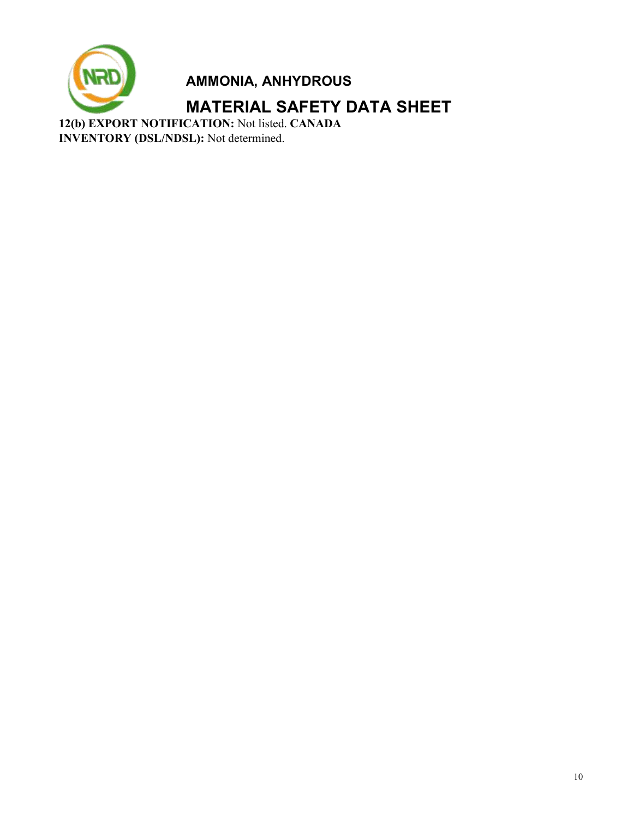

**MATERIAL SAFETY DATA SHEET**

**12(b) EXPORT NOTIFICATION:** Not listed. **CANADA INVENTORY (DSL/NDSL):** Not determined.